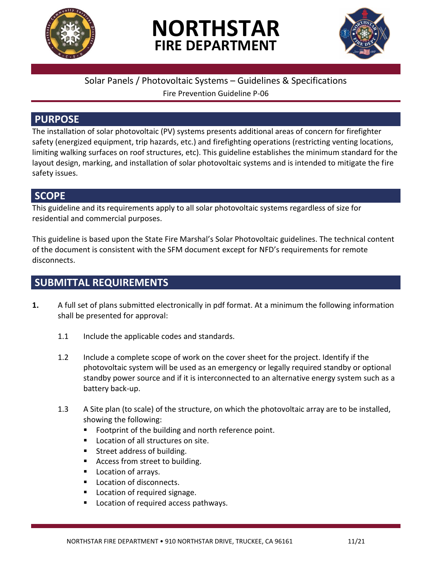

# **NORTHSTAR FIRE DEPARTMENT**



## Solar Panels / Photovoltaic Systems – Guidelines & Specifications

Fire Prevention Guideline P-06

# **PURPOSE**

The installation of solar photovoltaic (PV) systems presents additional areas of concern for firefighter safety (energized equipment, trip hazards, etc.) and firefighting operations (restricting venting locations, limiting walking surfaces on roof structures, etc). This guideline establishes the minimum standard for the layout design, marking, and installation of solar photovoltaic systems and is intended to mitigate the fire safety issues.

## **SCOPE**

This guideline and its requirements apply to all solar photovoltaic systems regardless of size for residential and commercial purposes.

This guideline is based upon the State Fire Marshal's Solar Photovoltaic guidelines. The technical content of the document is consistent with the SFM document except for NFD's requirements for remote disconnects.

# **SUBMITTAL REQUIREMENTS**

- **1.** A full set of plans submitted electronically in pdf format. At a minimum the following information shall be presented for approval:
	- 1.1 Include the applicable codes and standards.
	- 1.2 Include a complete scope of work on the cover sheet for the project. Identify if the photovoltaic system will be used as an emergency or legally required standby or optional standby power source and if it is interconnected to an alternative energy system such as a battery back-up.
	- 1.3 A Site plan (to scale) of the structure, on which the photovoltaic array are to be installed, showing the following:
		- Footprint of the building and north reference point.
		- **Location of all structures on site.**
		- **Street address of building.**
		- Access from street to building.
		- **Location of arrays.**
		- **Location of disconnects.**
		- Location of required signage.
		- **Location of required access pathways.**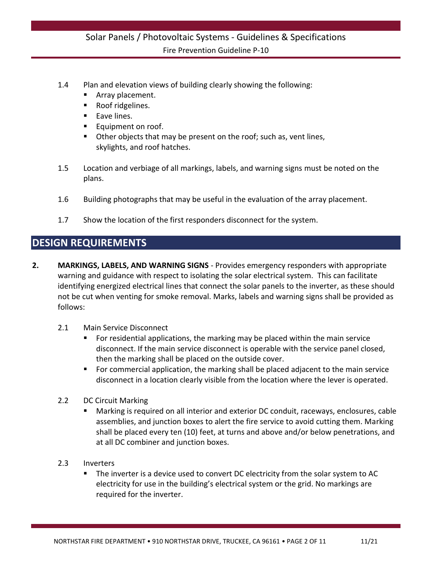- 1.4 Plan and elevation views of building clearly showing the following:
	- Array placement.
	- Roof ridgelines.
	- **Eave lines.**
	- Equipment on roof.
	- Other objects that may be present on the roof; such as, vent lines, skylights, and roof hatches.
- 1.5 Location and verbiage of all markings, labels, and warning signs must be noted on the plans.
- 1.6 Building photographs that may be useful in the evaluation of the array placement.
- 1.7 Show the location of the first responders disconnect for the system.

# **DESIGN REQUIREMENTS**

- **2. MARKINGS, LABELS, AND WARNING SIGNS** Provides emergency responders with appropriate warning and guidance with respect to isolating the solar electrical system. This can facilitate identifying energized electrical lines that connect the solar panels to the inverter, as these should not be cut when venting for smoke removal. Marks, labels and warning signs shall be provided as follows:
	- 2.1 Main Service Disconnect
		- For residential applications, the marking may be placed within the main service disconnect. If the main service disconnect is operable with the service panel closed, then the marking shall be placed on the outside cover.
		- For commercial application, the marking shall be placed adjacent to the main service disconnect in a location clearly visible from the location where the lever is operated.
	- 2.2 DC Circuit Marking
		- Marking is required on all interior and exterior DC conduit, raceways, enclosures, cable assemblies, and junction boxes to alert the fire service to avoid cutting them. Marking shall be placed every ten (10) feet, at turns and above and/or below penetrations, and at all DC combiner and junction boxes.
	- 2.3 Inverters
		- The inverter is a device used to convert DC electricity from the solar system to AC electricity for use in the building's electrical system or the grid. No markings are required for the inverter.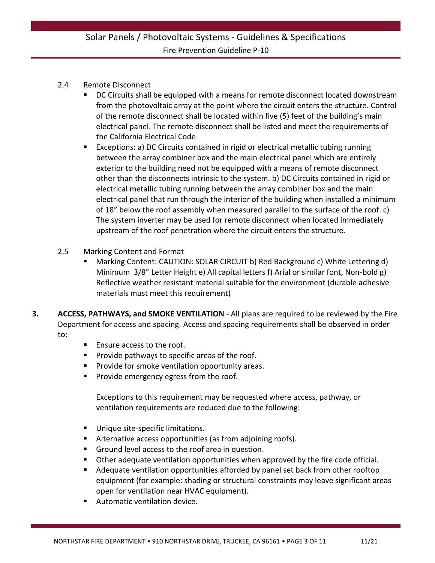#### 2.4 Remote Disconnect

- DC Circuits shall be equipped with a means for remote disconnect located downstream from the photovoltaic array at the point where the circuit enters the structure. Control of the remote disconnect shall be located within five (5) feet of the building's main electrical panel. The remote disconnect shall be listed and meet the requirements of the California Electrical Code
- Exceptions: a) DC Circuits contained in rigid or electrical metallic tubing running between the array combiner box and the main electrical panel which are entirely exterior to the building need not be equipped with a means of remote disconnect other than the disconnects intrinsic to the system. b) DC Circuits contained in rigid or electrical metallic tubing running between the array combiner box and the main electrical panel that run through the interior of the building when installed a minimum of 18" below the roof assembly when measured parallel to the surface of the roof. c) The system inverter may be used for remote disconnect when located immediately upstream of the roof penetration where the circuit enters the structure.
- 2.5 Marking Content and Format
	- Marking Content: CAUTION: SOLAR CIRCUIT b) Red Background c) White Lettering d) Minimum 3/8" Letter Height e) All capital letters f) Arial or similar font, Non-bold g) Reflective weather resistant material suitable for the environment (durable adhesive materials must meet this requirement)
- **3. ACCESS, PATHWAYS, and SMOKE VENTILATION** All plans are required to be reviewed by the Fire Department for access and spacing. Access and spacing requirements shall be observed in order to:
	- Ensure access to the roof.
	- **Provide pathways to specific areas of the roof.**
	- Provide for smoke ventilation opportunity areas.
	- **Provide emergency egress from the roof.**

Exceptions to this requirement may be requested where access, pathway, or ventilation requirements are reduced due to the following:

- **Unique site-specific limitations.**
- Alternative access opportunities (as from adjoining roofs).
- Ground level access to the roof area in question.
- Other adequate ventilation opportunities when approved by the fire code official.
- Adequate ventilation opportunities afforded by panel set back from other rooftop equipment (for example: shading or structural constraints may leave significant areas open for ventilation near HVAC equipment).
- Automatic ventilation device.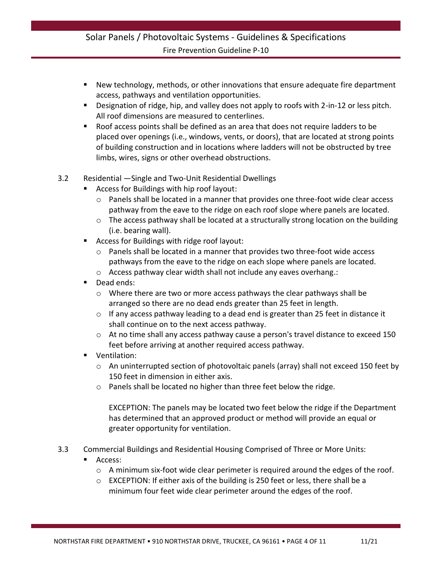- New technology, methods, or other innovations that ensure adequate fire department access, pathways and ventilation opportunities.
- **Designation of ridge, hip, and valley does not apply to roofs with 2-in-12 or less pitch.** All roof dimensions are measured to centerlines.
- Roof access points shall be defined as an area that does not require ladders to be placed over openings (i.e., windows, vents, or doors), that are located at strong points of building construction and in locations where ladders will not be obstructed by tree limbs, wires, signs or other overhead obstructions.
- 3.2 Residential —Single and Two-Unit Residential Dwellings
	- Access for Buildings with hip roof layout:
		- o Panels shall be located in a manner that provides one three-foot wide clear access pathway from the eave to the ridge on each roof slope where panels are located.
		- o The access pathway shall be located at a structurally strong location on the building (i.e. bearing wall).
	- Access for Buildings with ridge roof layout:
		- $\circ$  Panels shall be located in a manner that provides two three-foot wide access pathways from the eave to the ridge on each slope where panels are located.
		- o Access pathway clear width shall not include any eaves overhang.:
	- Dead ends:
		- o Where there are two or more access pathways the clear pathways shall be arranged so there are no dead ends greater than 25 feet in length.
		- $\circ$  If any access pathway leading to a dead end is greater than 25 feet in distance it shall continue on to the next access pathway.
		- $\circ$  At no time shall any access pathway cause a person's travel distance to exceed 150 feet before arriving at another required access pathway.
	- Ventilation:
		- o An uninterrupted section of photovoltaic panels (array) shall not exceed 150 feet by 150 feet in dimension in either axis.
		- o Panels shall be located no higher than three feet below the ridge.

EXCEPTION: The panels may be located two feet below the ridge if the Department has determined that an approved product or method will provide an equal or greater opportunity for ventilation.

- 3.3 Commercial Buildings and Residential Housing Comprised of Three or More Units:
	- Access:
		- $\circ$  A minimum six-foot wide clear perimeter is required around the edges of the roof.
		- $\circ$  EXCEPTION: If either axis of the building is 250 feet or less, there shall be a minimum four feet wide clear perimeter around the edges of the roof.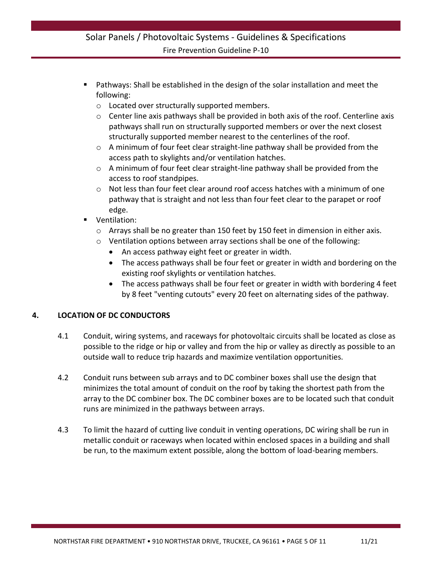- Pathways: Shall be established in the design of the solar installation and meet the following:
	- o Located over structurally supported members.
	- $\circ$  Center line axis pathways shall be provided in both axis of the roof. Centerline axis pathways shall run on structurally supported members or over the next closest structurally supported member nearest to the centerlines of the roof.
	- $\circ$  A minimum of four feet clear straight-line pathway shall be provided from the access path to skylights and/or ventilation hatches.
	- o A minimum of four feet clear straight-line pathway shall be provided from the access to roof standpipes.
	- $\circ$  Not less than four feet clear around roof access hatches with a minimum of one pathway that is straight and not less than four feet clear to the parapet or roof edge.
- Ventilation:
	- $\circ$  Arrays shall be no greater than 150 feet by 150 feet in dimension in either axis.
	- o Ventilation options between array sections shall be one of the following:
		- An access pathway eight feet or greater in width.
		- The access pathways shall be four feet or greater in width and bordering on the existing roof skylights or ventilation hatches.
		- The access pathways shall be four feet or greater in width with bordering 4 feet by 8 feet "venting cutouts" every 20 feet on alternating sides of the pathway.

#### **4. LOCATION OF DC CONDUCTORS**

- 4.1 Conduit, wiring systems, and raceways for photovoltaic circuits shall be located as close as possible to the ridge or hip or valley and from the hip or valley as directly as possible to an outside wall to reduce trip hazards and maximize ventilation opportunities.
- 4.2 Conduit runs between sub arrays and to DC combiner boxes shall use the design that minimizes the total amount of conduit on the roof by taking the shortest path from the array to the DC combiner box. The DC combiner boxes are to be located such that conduit runs are minimized in the pathways between arrays.
- 4.3 To limit the hazard of cutting live conduit in venting operations, DC wiring shall be run in metallic conduit or raceways when located within enclosed spaces in a building and shall be run, to the maximum extent possible, along the bottom of load-bearing members.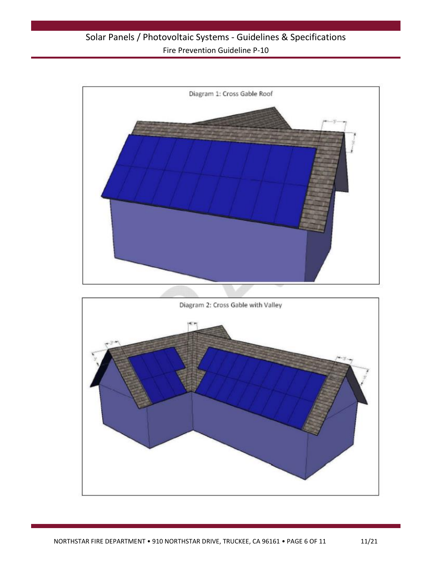

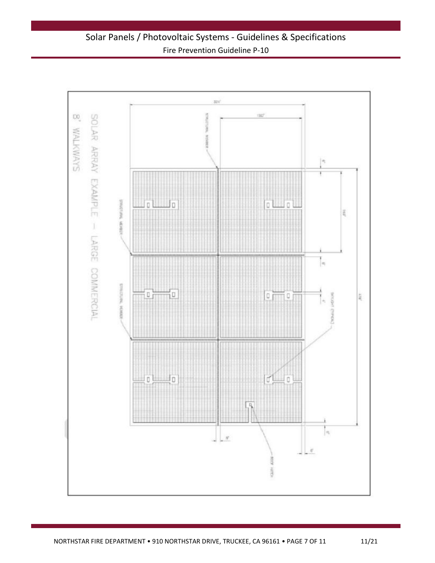Solar Panels / Photovoltaic Systems - Guidelines & Specifications Fire Prevention Guideline P-10

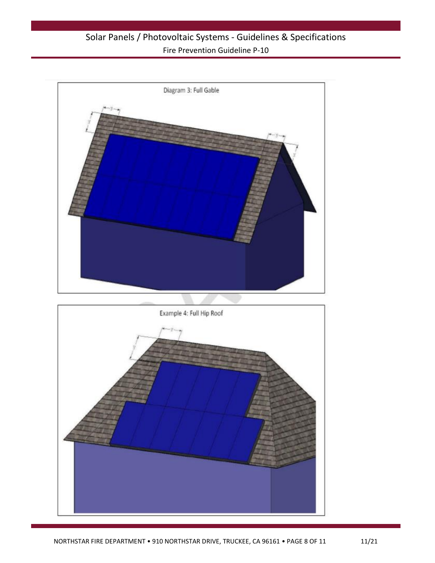

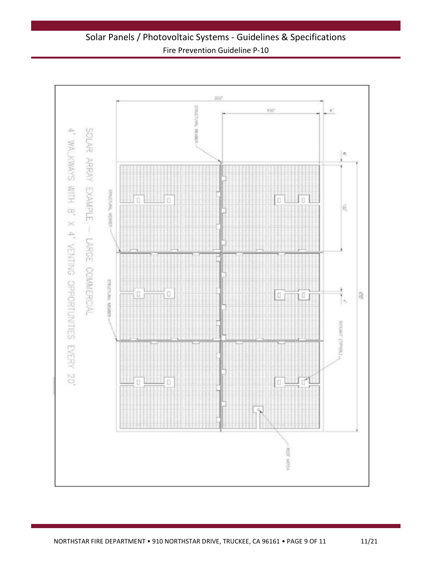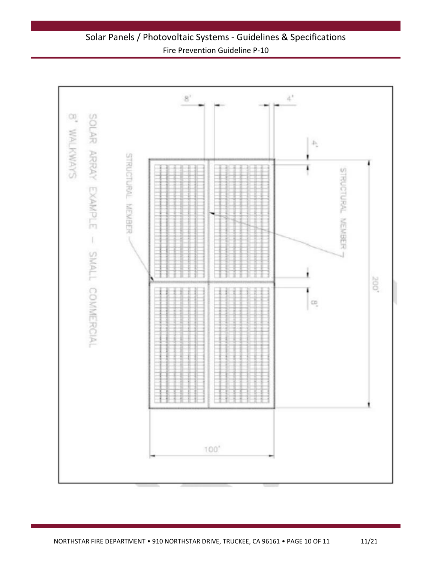Solar Panels / Photovoltaic Systems - Guidelines & Specifications Fire Prevention Guideline P-10